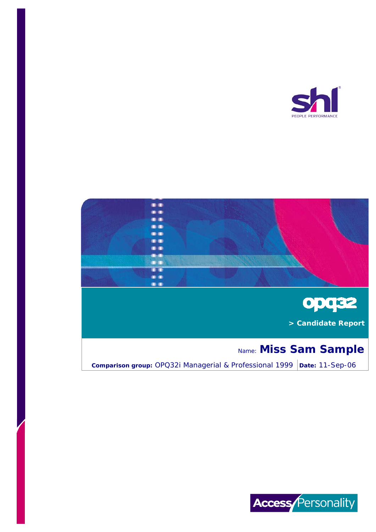





 **> Candidate Report**

# Name: **Miss Sam Sample**

**Comparison group:** OPQ32i Managerial & Professional 1999 | Date: 11-Sep-06

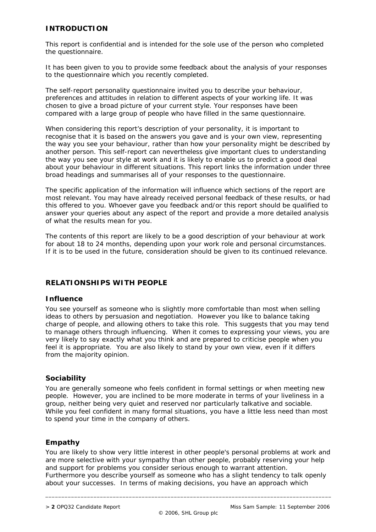# **INTRODUCTION**

This report is confidential and is intended for the sole use of the person who completed the questionnaire.

It has been given to you to provide some feedback about the analysis of your responses to the questionnaire which you recently completed.

The self-report personality questionnaire invited you to describe your behaviour, preferences and attitudes in relation to different aspects of your working life. It was chosen to give a broad picture of your current style. Your responses have been compared with a large group of people who have filled in the same questionnaire.

When considering this report's description of your personality, it is important to recognise that it is based on the answers you gave and is your own view, representing the way you see your behaviour, rather than how your personality might be described by another person. This self-report can nevertheless give important clues to understanding the way you see your style at work and it is likely to enable us to predict a good deal about your behaviour in different situations. This report links the information under three broad headings and summarises all of your responses to the questionnaire.

The specific application of the information will influence which sections of the report are most relevant. You may have already received personal feedback of these results, or had this offered to you. Whoever gave you feedback and/or this report should be qualified to answer your queries about any aspect of the report and provide a more detailed analysis of what the results mean for you.

The contents of this report are likely to be a good description of your behaviour at work for about 18 to 24 months, depending upon your work role and personal circumstances. If it is to be used in the future, consideration should be given to its continued relevance.

# **RELATIONSHIPS WITH PEOPLE**

# **Influence**

You see yourself as someone who is slightly more comfortable than most when selling ideas to others by persuasion and negotiation. However you like to balance taking charge of people, and allowing others to take this role. This suggests that you may tend to manage others through influencing. When it comes to expressing your views, you are very likely to say exactly what you think and are prepared to criticise people when you feel it is appropriate. You are also likely to stand by your own view, even if it differs from the majority opinion.

# **Sociability**

You are generally someone who feels confident in formal settings or when meeting new people. However, you are inclined to be more moderate in terms of your liveliness in a group, neither being very quiet and reserved nor particularly talkative and sociable. While you feel confident in many formal situations, you have a little less need than most to spend your time in the company of others.

# **Empathy**

You are likely to show very little interest in other people's personal problems at work and are more selective with your sympathy than other people, probably reserving your help and support for problems you consider serious enough to warrant attention. Furthermore you describe yourself as someone who has a slight tendency to talk openly about your successes. In terms of making decisions, you have an approach which

\_\_\_\_\_\_\_\_\_\_\_\_\_\_\_\_\_\_\_\_\_\_\_\_\_\_\_\_\_\_\_\_\_\_\_\_\_\_\_\_\_\_\_\_\_\_\_\_\_\_\_\_\_\_\_\_\_\_\_\_\_\_\_\_\_\_\_\_\_\_\_\_\_\_\_\_\_\_\_\_\_\_\_\_\_\_\_\_\_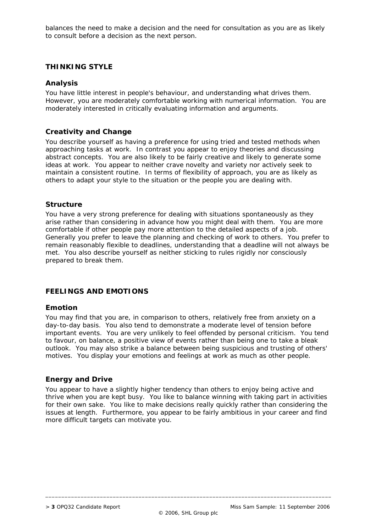balances the need to make a decision and the need for consultation as you are as likely to consult before a decision as the next person.

# **THINKING STYLE**

## **Analysis**

You have little interest in people's behaviour, and understanding what drives them. However, you are moderately comfortable working with numerical information. You are moderately interested in critically evaluating information and arguments.

#### **Creativity and Change**

You describe yourself as having a preference for using tried and tested methods when approaching tasks at work. In contrast you appear to enjoy theories and discussing abstract concepts. You are also likely to be fairly creative and likely to generate some ideas at work. You appear to neither crave novelty and variety nor actively seek to maintain a consistent routine. In terms of flexibility of approach, you are as likely as others to adapt your style to the situation or the people you are dealing with.

## **Structure**

You have a very strong preference for dealing with situations spontaneously as they arise rather than considering in advance how you might deal with them. You are more comfortable if other people pay more attention to the detailed aspects of a job. Generally you prefer to leave the planning and checking of work to others. You prefer to remain reasonably flexible to deadlines, understanding that a deadline will not always be met. You also describe yourself as neither sticking to rules rigidly nor consciously prepared to break them.

# **FEELINGS AND EMOTIONS**

#### **Emotion**

You may find that you are, in comparison to others, relatively free from anxiety on a day-to-day basis. You also tend to demonstrate a moderate level of tension before important events. You are very unlikely to feel offended by personal criticism. You tend to favour, on balance, a positive view of events rather than being one to take a bleak outlook. You may also strike a balance between being suspicious and trusting of others' motives. You display your emotions and feelings at work as much as other people.

#### **Energy and Drive**

You appear to have a slightly higher tendency than others to enjoy being active and thrive when you are kept busy. You like to balance winning with taking part in activities for their own sake. You like to make decisions really quickly rather than considering the issues at length. Furthermore, you appear to be fairly ambitious in your career and find more difficult targets can motivate you.

\_\_\_\_\_\_\_\_\_\_\_\_\_\_\_\_\_\_\_\_\_\_\_\_\_\_\_\_\_\_\_\_\_\_\_\_\_\_\_\_\_\_\_\_\_\_\_\_\_\_\_\_\_\_\_\_\_\_\_\_\_\_\_\_\_\_\_\_\_\_\_\_\_\_\_\_\_\_\_\_\_\_\_\_\_\_\_\_\_